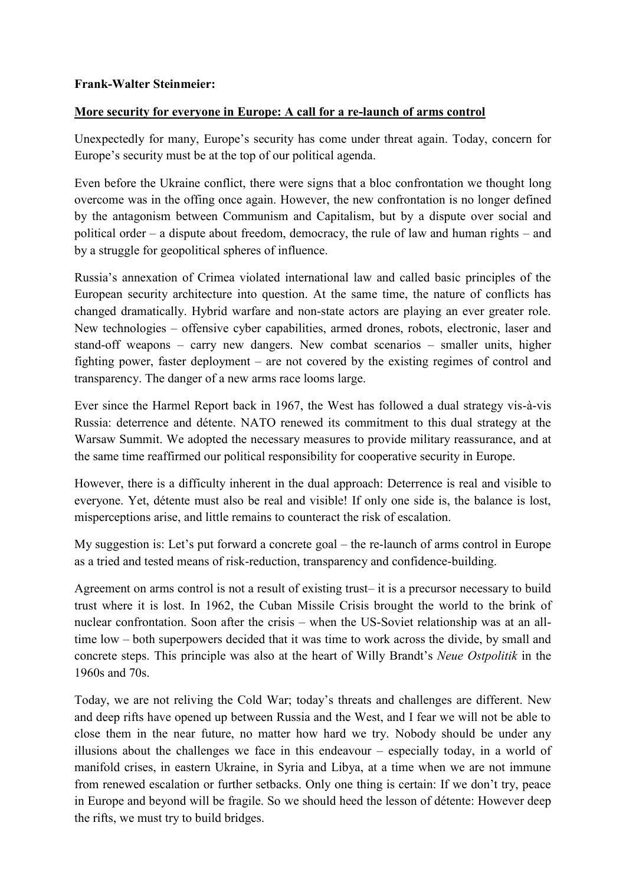## **More security for everyone in Europe: A call for a re-launch of arms control**

Unexpectedly for many, Europe's security has come under threat again. Today, concern for Europe's security must be at the top of our political agenda.

Even before the Ukraine conflict, there were signs that a bloc confrontation we thought long overcome was in the offing once again. However, the new confrontation is no longer defined by the antagonism between Communism and Capitalism, but by a dispute over social and political order – a dispute about freedom, democracy, the rule of law and human rights – and by a struggle for geopolitical spheres of influence.

Russia's annexation of Crimea violated international law and called basic principles of the European security architecture into question. At the same time, the nature of conflicts has changed dramatically. Hybrid warfare and non-state actors are playing an ever greater role. New technologies – offensive cyber capabilities, armed drones, robots, electronic, laser and stand-off weapons – carry new dangers. New combat scenarios – smaller units, higher fighting power, faster deployment – are not covered by the existing regimes of control and transparency. The danger of a new arms race looms large.

Ever since the Harmel Report back in 1967, the West has followed a dual strategy vis-à-vis Russia: deterrence and détente. NATO renewed its commitment to this dual strategy at the Warsaw Summit. We adopted the necessary measures to provide military reassurance, and at the same time reaffirmed our political responsibility for cooperative security in Europe.

However, there is a difficulty inherent in the dual approach: Deterrence is real and visible to everyone. Yet, détente must also be real and visible! If only one side is, the balance is lost, misperceptions arise, and little remains to counteract the risk of escalation.

My suggestion is: Let's put forward a concrete goal – the re-launch of arms control in Europe as a tried and tested means of risk-reduction, transparency and confidence-building.

Agreement on arms control is not a result of existing trust– it is a precursor necessary to build trust where it is lost. In 1962, the Cuban Missile Crisis brought the world to the brink of nuclear confrontation. Soon after the crisis – when the US-Soviet relationship was at an alltime low – both superpowers decided that it was time to work across the divide, by small and concrete steps. This principle was also at the heart of Willy Brandt's *Neue Ostpolitik* in the 1960s and 70s.

Today, we are not reliving the Cold War; today's threats and challenges are different. New and deep rifts have opened up between Russia and the West, and I fear we will not be able to close them in the near future, no matter how hard we try. Nobody should be under any illusions about the challenges we face in this endeavour – especially today, in a world of manifold crises, in eastern Ukraine, in Syria and Libya, at a time when we are not immune from renewed escalation or further setbacks. Only one thing is certain: If we don't try, peace in Europe and beyond will be fragile. So we should heed the lesson of détente: However deep the rifts, we must try to build bridges.